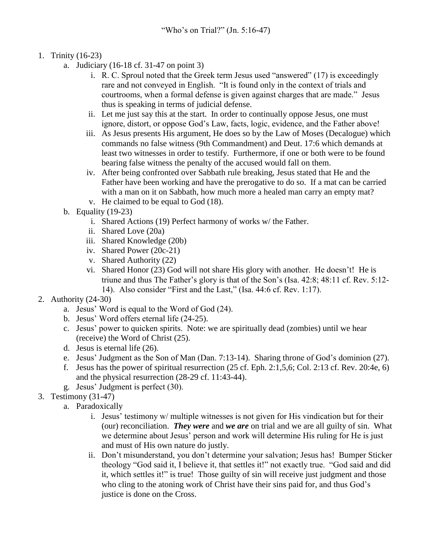- 1. Trinity (16-23)
	- a. Judiciary (16-18 cf. 31-47 on point 3)
		- i. R. C. Sproul noted that the Greek term Jesus used "answered" (17) is exceedingly rare and not conveyed in English. "It is found only in the context of trials and courtrooms, when a formal defense is given against charges that are made." Jesus thus is speaking in terms of judicial defense.
		- ii. Let me just say this at the start. In order to continually oppose Jesus, one must ignore, distort, or oppose God's Law, facts, logic, evidence, and the Father above!
		- iii. As Jesus presents His argument, He does so by the Law of Moses (Decalogue) which commands no false witness (9th Commandment) and Deut. 17:6 which demands at least two witnesses in order to testify. Furthermore, if one or both were to be found bearing false witness the penalty of the accused would fall on them.
		- iv. After being confronted over Sabbath rule breaking, Jesus stated that He and the Father have been working and have the prerogative to do so. If a mat can be carried with a man on it on Sabbath, how much more a healed man carry an empty mat?
		- v. He claimed to be equal to God (18).
	- b. Equality (19-23)
		- i. Shared Actions (19) Perfect harmony of works w/ the Father.
		- ii. Shared Love (20a)
		- iii. Shared Knowledge (20b)
		- iv. Shared Power (20c-21)
		- v. Shared Authority (22)
		- vi. Shared Honor (23) God will not share His glory with another. He doesn't! He is triune and thus The Father's glory is that of the Son's (Isa. 42:8; 48:11 cf. Rev. 5:12- 14). Also consider "First and the Last," (Isa. 44:6 cf. Rev. 1:17).
- 2. Authority (24-30)
	- a. Jesus' Word is equal to the Word of God (24).
	- b. Jesus' Word offers eternal life (24-25).
	- c. Jesus' power to quicken spirits. Note: we are spiritually dead (zombies) until we hear (receive) the Word of Christ (25).
	- d. Jesus is eternal life (26).
	- e. Jesus' Judgment as the Son of Man (Dan. 7:13-14). Sharing throne of God's dominion (27).
	- f. Jesus has the power of spiritual resurrection  $(25 \text{ cf. Eph. } 2:1,5,6; \text{Col. } 2:13 \text{ cf. Rev. } 20:4e, 6)$ and the physical resurrection (28-29 cf. 11:43-44).
	- g. Jesus' Judgment is perfect (30).
- 3. Testimony (31-47)
	- a. Paradoxically
		- i. Jesus' testimony w/ multiple witnesses is not given for His vindication but for their (our) reconciliation. *They were* and *we are* on trial and we are all guilty of sin. What we determine about Jesus' person and work will determine His ruling for He is just and must of His own nature do justly.
		- ii. Don't misunderstand, you don't determine your salvation; Jesus has! Bumper Sticker theology "God said it, I believe it, that settles it!" not exactly true. "God said and did it, which settles it!" is true! Those guilty of sin will receive just judgment and those who cling to the atoning work of Christ have their sins paid for, and thus God's justice is done on the Cross.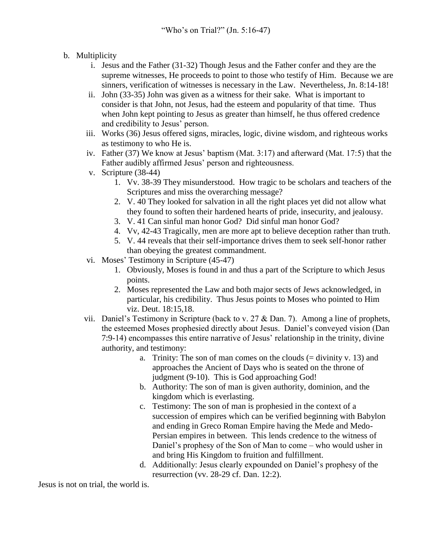- b. Multiplicity
	- i. Jesus and the Father (31-32) Though Jesus and the Father confer and they are the supreme witnesses, He proceeds to point to those who testify of Him. Because we are sinners, verification of witnesses is necessary in the Law. Nevertheless, Jn. 8:14-18!
	- ii. John (33-35) John was given as a witness for their sake. What is important to consider is that John, not Jesus, had the esteem and popularity of that time. Thus when John kept pointing to Jesus as greater than himself, he thus offered credence and credibility to Jesus' person.
	- iii. Works (36) Jesus offered signs, miracles, logic, divine wisdom, and righteous works as testimony to who He is.
	- iv. Father (37) We know at Jesus' baptism (Mat. 3:17) and afterward (Mat. 17:5) that the Father audibly affirmed Jesus' person and righteousness.
	- v. Scripture (38-44)
		- 1. Vv. 38-39 They misunderstood. How tragic to be scholars and teachers of the Scriptures and miss the overarching message?
		- 2. V. 40 They looked for salvation in all the right places yet did not allow what they found to soften their hardened hearts of pride, insecurity, and jealousy.
		- 3. V. 41 Can sinful man honor God? Did sinful man honor God?
		- 4. Vv, 42-43 Tragically, men are more apt to believe deception rather than truth.
		- 5. V. 44 reveals that their self-importance drives them to seek self-honor rather than obeying the greatest commandment.
	- vi. Moses' Testimony in Scripture (45-47)
		- 1. Obviously, Moses is found in and thus a part of the Scripture to which Jesus points.
		- 2. Moses represented the Law and both major sects of Jews acknowledged, in particular, his credibility. Thus Jesus points to Moses who pointed to Him viz. Deut. 18:15,18.
	- vii. Daniel's Testimony in Scripture (back to v. 27 & Dan. 7). Among a line of prophets, the esteemed Moses prophesied directly about Jesus. Daniel's conveyed vision (Dan 7:9-14) encompasses this entire narrative of Jesus' relationship in the trinity, divine authority, and testimony:
		- a. Trinity: The son of man comes on the clouds  $(=$  divinity v. 13) and approaches the Ancient of Days who is seated on the throne of judgment (9-10). This is God approaching God!
		- b. Authority: The son of man is given authority, dominion, and the kingdom which is everlasting.
		- c. Testimony: The son of man is prophesied in the context of a succession of empires which can be verified beginning with Babylon and ending in Greco Roman Empire having the Mede and Medo-Persian empires in between. This lends credence to the witness of Daniel's prophesy of the Son of Man to come – who would usher in and bring His Kingdom to fruition and fulfillment.
		- d. Additionally: Jesus clearly expounded on Daniel's prophesy of the resurrection (vv. 28-29 cf. Dan. 12:2).

Jesus is not on trial, the world is.